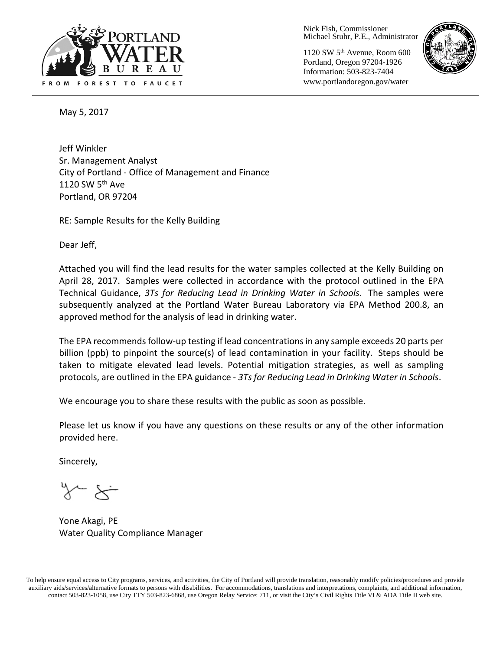

Nick Fish, Commissioner Michael Stuhr, P.E., Administrator

1120 SW 5th Avenue, Room 600 Portland, Oregon 97204-1926 Information: 503-823-7404 www.portlandoregon.gov/water



May 5, 2017

Jeff Winkler Sr. Management Analyst City of Portland - Office of Management and Finance 1120 SW  $5<sup>th</sup>$  Ave Portland, OR 97204

RE: Sample Results for the Kelly Building

Dear Jeff,

Attached you will find the lead results for the water samples collected at the Kelly Building on April 28, 2017. Samples were collected in accordance with the protocol outlined in the EPA Technical Guidance, *3Ts for Reducing Lead in Drinking Water in Schools*. The samples were subsequently analyzed at the Portland Water Bureau Laboratory via EPA Method 200.8, an approved method for the analysis of lead in drinking water.

The EPA recommends follow-up testing if lead concentrations in any sample exceeds 20 parts per billion (ppb) to pinpoint the source(s) of lead contamination in your facility. Steps should be taken to mitigate elevated lead levels. Potential mitigation strategies, as well as sampling protocols, are outlined in the EPA guidance - *3Ts for Reducing Lead in Drinking Water in Schools*.

We encourage you to share these results with the public as soon as possible.

Please let us know if you have any questions on these results or any of the other information provided here.

Sincerely,

Yone Akagi, PE Water Quality Compliance Manager

To help ensure equal access to City programs, services, and activities, the City of Portland will provide translation, reasonably modify policies/procedures and provide auxiliary aids/services/alternative formats to persons with disabilities. For accommodations, translations and interpretations, complaints, and additional information, contact 503-823-1058, use City TTY 503-823-6868, use Oregon Relay Service: 711, or visi[t the City's Civil Rights Title VI & ADA Title II web site.](http://www.portlandoregon.gov/oehr/66458)